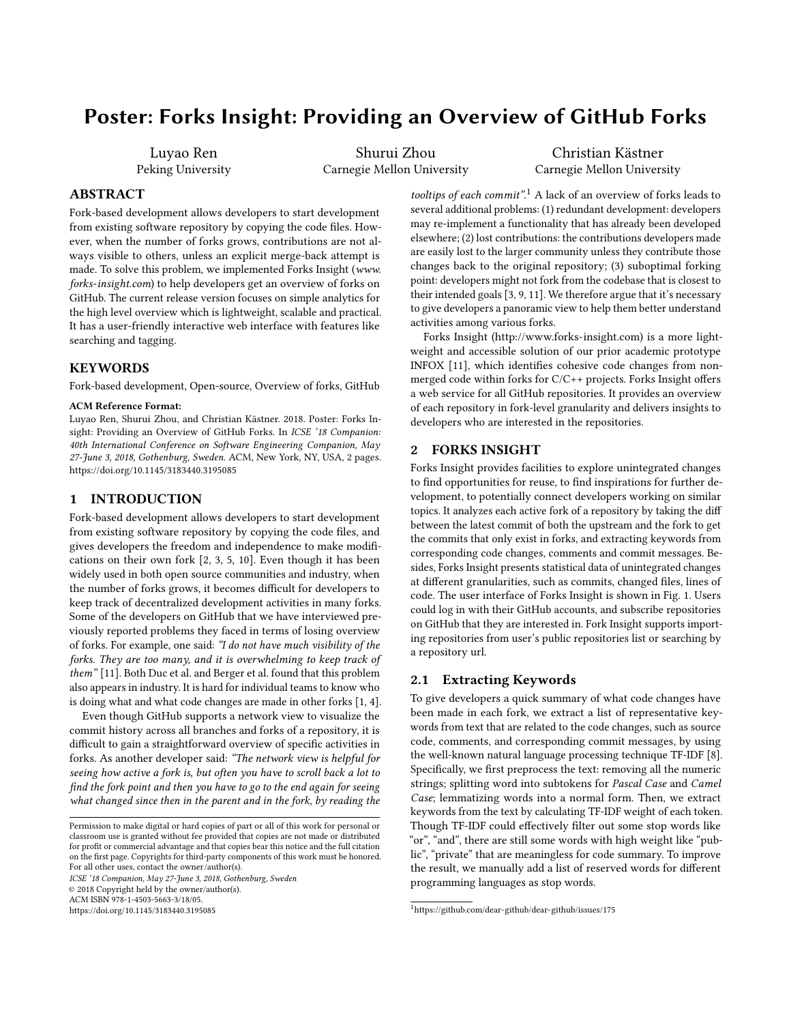# Poster: Forks Insight: Providing an Overview of GitHub Forks

Luyao Ren Peking University

Shurui Zhou Carnegie Mellon University

Christian Kästner Carnegie Mellon University

# ABSTRACT

Fork-based development allows developers to start development from existing software repository by copying the code files. However, when the number of forks grows, contributions are not always visible to others, unless an explicit merge-back attempt is made. To solve this problem, we implemented Forks Insight ([www.](www.forks-insight.com) [forks-insight.com](www.forks-insight.com)) to help developers get an overview of forks on GitHub. The current release version focuses on simple analytics for the high level overview which is lightweight, scalable and practical. It has a user-friendly interactive web interface with features like searching and tagging.

# **KEYWORDS**

Fork-based development, Open-source, Overview of forks, GitHub

#### ACM Reference Format:

Luyao Ren, Shurui Zhou, and Christian Kästner. 2018. Poster: Forks Insight: Providing an Overview of GitHub Forks. In ICSE '18 Companion: 40th International Conference on Software Engineering Companion, May 27-June 3, 2018, Gothenburg, Sweden. ACM, New York, NY, USA, [2](#page-1-0) pages. <https://doi.org/10.1145/3183440.3195085>

# 1 INTRODUCTION

Fork-based development allows developers to start development from existing software repository by copying the code files, and gives developers the freedom and independence to make modifications on their own fork [\[2,](#page-1-1) [3,](#page-1-2) [5,](#page-1-3) [10\]](#page-1-4). Even though it has been widely used in both open source communities and industry, when the number of forks grows, it becomes difficult for developers to keep track of decentralized development activities in many forks. Some of the developers on GitHub that we have interviewed previously reported problems they faced in terms of losing overview of forks. For example, one said: "I do not have much visibility of the forks. They are too many, and it is overwhelming to keep track of them" [\[11\]](#page-1-5). Both Duc et al. and Berger et al. found that this problem also appears in industry. It is hard for individual teams to know who is doing what and what code changes are made in other forks [\[1,](#page-1-6) [4\]](#page-1-7).

Even though GitHub supports a network view to visualize the commit history across all branches and forks of a repository, it is difficult to gain a straightforward overview of specific activities in forks. As another developer said: "The network view is helpful for seeing how active a fork is, but often you have to scroll back a lot to find the fork point and then you have to go to the end again for seeing what changed since then in the parent and in the fork, by reading the

ICSE '18 Companion, May 27-June 3, 2018, Gothenburg, Sweden

© 2018 Copyright held by the owner/author(s).

ACM ISBN 978-1-4503-5663-3/18/05.

<https://doi.org/10.1145/3183440.3195085>

tooltips of each commit".<sup>[1](#page-0-0)</sup> A lack of an overview of forks leads to several additional problems: (1) redundant development: developers may re-implement a functionality that has already been developed elsewhere; (2) lost contributions: the contributions developers made are easily lost to the larger community unless they contribute those changes back to the original repository; (3) suboptimal forking point: developers might not fork from the codebase that is closest to their intended goals [\[3,](#page-1-2) [9,](#page-1-8) [11\]](#page-1-5). We therefore argue that it's necessary to give developers a panoramic view to help them better understand activities among various forks.

Forks Insight [\(http://www.forks-insight.com\)](http://www.forks-insight.com) is a more lightweight and accessible solution of our prior academic prototype INFOX [\[11\]](#page-1-5), which identifies cohesive code changes from nonmerged code within forks for C/C++ projects. Forks Insight offers a web service for all GitHub repositories. It provides an overview of each repository in fork-level granularity and delivers insights to developers who are interested in the repositories.

# 2 FORKS INSIGHT

Forks Insight provides facilities to explore unintegrated changes to find opportunities for reuse, to find inspirations for further development, to potentially connect developers working on similar topics. It analyzes each active fork of a repository by taking the diff between the latest commit of both the upstream and the fork to get the commits that only exist in forks, and extracting keywords from corresponding code changes, comments and commit messages. Besides, Forks Insight presents statistical data of unintegrated changes at different granularities, such as commits, changed files, lines of code. The user interface of Forks Insight is shown in Fig. [1.](#page-1-9) Users could log in with their GitHub accounts, and subscribe repositories on GitHub that they are interested in. Fork Insight supports importing repositories from user's public repositories list or searching by a repository url.

# 2.1 Extracting Keywords

To give developers a quick summary of what code changes have been made in each fork, we extract a list of representative keywords from text that are related to the code changes, such as source code, comments, and corresponding commit messages, by using the well-known natural language processing technique TF-IDF [\[8\]](#page-1-10). Specifically, we first preprocess the text: removing all the numeric strings; splitting word into subtokens for Pascal Case and Camel Case; lemmatizing words into a normal form. Then, we extract keywords from the text by calculating TF-IDF weight of each token. Though TF-IDF could effectively filter out some stop words like "or", "and", there are still some words with high weight like "public", "private" that are meaningless for code summary. To improve the result, we manually add a list of reserved words for different programming languages as stop words.

Permission to make digital or hard copies of part or all of this work for personal or classroom use is granted without fee provided that copies are not made or distributed for profit or commercial advantage and that copies bear this notice and the full citation on the first page. Copyrights for third-party components of this work must be honored. For all other uses, contact the owner/author(s).

<span id="page-0-0"></span> $^1$ <https://github.com/dear-github/dear-github/issues/175>